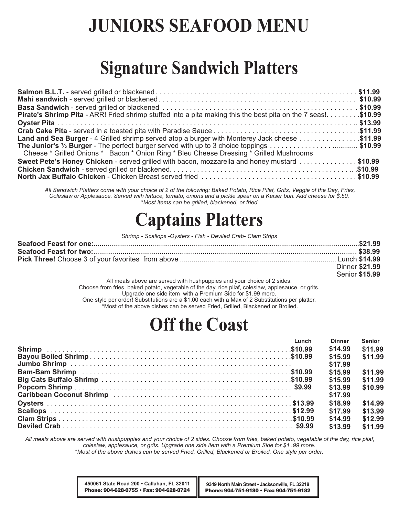# **JUNIORS SEAFOOD MENU**

# **Signature Sandwich Platters**

| <b>Pirate's Shrimp Pita</b> - ARR! Fried shrimp stuffed into a pita making this the best pita on the 7 seas!\$10.99 |  |
|---------------------------------------------------------------------------------------------------------------------|--|
|                                                                                                                     |  |
|                                                                                                                     |  |
| 11.99. Land and Sea Burger - 4 Grilled shrimp served atop a burger with Monterey Jack cheese \$11.99                |  |
|                                                                                                                     |  |
| Cheese * Grilled Onions * Bacon * Onion Ring * Bleu Cheese Dressing * Grilled Mushrooms                             |  |
| Sweet Pete's Honey Chicken - served grilled with bacon, mozzarella and honey mustard \$10.99                        |  |
|                                                                                                                     |  |
|                                                                                                                     |  |

*All Sandwich Platters come with your choice of 2 of the following: Baked Potato, Rice Pilaf, Grits, Veggie of the Day, Fries, Coleslaw or Applesauce. Served with lettuce, tomato, onions and a pickle spear on a Kaiser bun. Add cheese for \$.50. \*Most items can be grilled, blackened, or fried*

## **Captains Platters**

*Shrimp - Scallops -Oysters - Fish - Deviled Crab- Clam Strips*

| Dinner \$21.99 |
|----------------|
| Senior \$15.99 |

All meals above are served with hushpuppies and your choice of 2 sides. Choose from fries, baked potato, vegetable of the day, rice pilaf, coleslaw, applesauce, or grits. Upgrade one side item with a Premium Side for \$1.99 more. One style per order! Substitutions are a \$1.00 each with a Max of 2 Substitutions per platter. \*Most of the above dishes can be served Fried, Grilled, Blackened or Broiled.

# **Off the Coast**

| Lunch | <b>Dinner</b> | <b>Senior</b> |
|-------|---------------|---------------|
|       | \$14.99       | \$11.99       |
|       | \$15.99       | \$11.99       |
|       | \$17.99       |               |
|       | \$15.99       | \$11.99       |
|       | \$15.99       | \$11.99       |
|       | \$13.99       | \$10.99       |
|       | \$17.99       |               |
|       | \$18.99       | \$14.99       |
|       | \$17.99       | \$13.99       |
|       | \$14.99       | \$12.99       |
|       | \$13.99       | \$11.99       |

*All meals above are served with hushpuppies and your choice of 2 sides. Choose from fries, baked potato, vegetable of the day, rice pilaf, coleslaw, applesauce, or grits. Upgrade one side item with a Premium Side for \$1 .99 more.*

*\*Most of the above dishes can be served Fried, Grilled, Blackened or Broiled. One style per order.*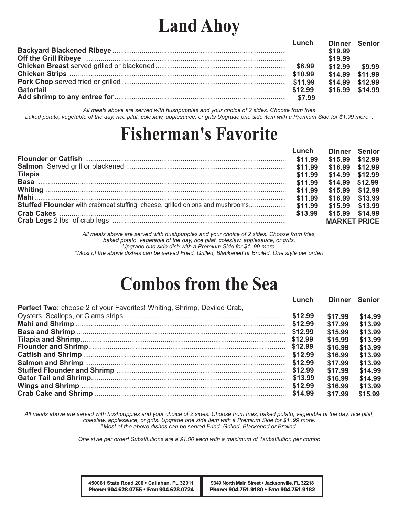# **Land Ahoy**

| Lunch | Dinner Senior   |  |
|-------|-----------------|--|
|       | \$19.99         |  |
|       | \$19.99         |  |
|       | \$12.99 \$9.99  |  |
|       | \$14.99 \$11.99 |  |
|       | \$14.99 \$12.99 |  |
|       | \$16.99 \$14.99 |  |
|       |                 |  |

*All meals above are served with hushpuppies and your choice of 2 sides. Choose from fries baked potato, vegetable of the day, rice pilaf, coleslaw, applesauce, or grits Upgrade one side item with a Premium Side for \$1.99 more. .*

# **Fisherman's Favorite**

| Lunch | Dinner Senior       |  |
|-------|---------------------|--|
|       | \$15.99 \$12.99     |  |
|       | \$16.99 \$12.99     |  |
|       | \$14.99 \$12.99     |  |
|       | \$14.99 \$12.99     |  |
|       | \$15.99 \$12.99     |  |
|       | \$16.99 \$13.99     |  |
|       | \$15.99 \$13.99     |  |
|       | \$15.99 \$14.99     |  |
|       | <b>MARKET PRICE</b> |  |

*All meals above are served with hushpuppies and your choice of 2 sides. Choose from fries, baked potato, vegetable of the day, rice pilaf, coleslaw, applesauce, or grits. Upgrade one side dish with a Premium Side for \$1 .99 more.*

*\*Most of the above dishes can be served Fried, Grilled, Blackened or Broiled. One style per order!*

## **Combos from the Sea**

|                                                                                | Lunch   |         | Dinner Senior |
|--------------------------------------------------------------------------------|---------|---------|---------------|
| <b>Perfect Two:</b> choose 2 of your Favorites! Whiting, Shrimp, Deviled Crab, |         |         |               |
|                                                                                |         | \$17.99 | \$14.99       |
|                                                                                |         | \$17.99 | \$13.99       |
|                                                                                |         | \$15.99 | \$13.99       |
|                                                                                | \$12.99 | \$15.99 | \$13.99       |
|                                                                                | \$12.99 | \$16.99 | \$13.99       |
|                                                                                |         | \$16.99 | \$13.99       |
|                                                                                |         | \$17.99 | \$13.99       |
|                                                                                |         | \$17.99 | \$14.99       |
|                                                                                |         | \$16.99 | \$14.99       |
|                                                                                |         | \$16.99 | \$13.99       |
|                                                                                |         | \$17.99 | \$15.99       |
|                                                                                |         |         |               |

*All meals above are served with hushpuppies and your choice of 2 sides. Choose from fries, baked potato, vegetable of the day, rice pilaf, coleslaw, applesauce, or grits. Upgrade one side item with a Premium Side for \$1 .99 more. \*Most of the above dishes can be served Fried, Grilled, Blackened or Broiled.*

*One style per order! Substitutions are a \$1.00 each with a maximum of 1substitution per combo*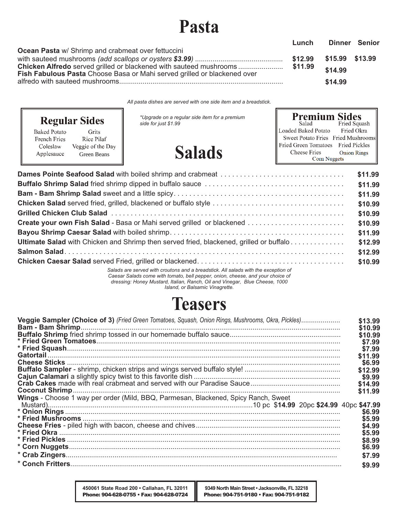# **Pasta**

| Lunch | Dinner Senior |         |
|-------|---------------|---------|
|       |               |         |
|       |               |         |
|       |               |         |
|       |               |         |
|       | \$14.99       |         |
|       |               | \$14.99 |

*All pasta dishes are served with one side item and a breadstick.*

| <b>Regular Sides</b>                                                                                                     | *Upgrade on a regular side item for a premium<br>side for just \$1.99 | <b>Premium Sides</b><br>Fried Squash<br>Salad<br>Loaded Baked Potato<br>Fried Okra                                                    |
|--------------------------------------------------------------------------------------------------------------------------|-----------------------------------------------------------------------|---------------------------------------------------------------------------------------------------------------------------------------|
| <b>Baked Potato</b><br>Grits<br>Rice Pilaf<br>French Fries<br>Veggie of the Day<br>Coleslaw<br>Applesauce<br>Green Beans | <b>Salads</b>                                                         | Sweet Potato Fries Fried Mushrooms<br>Fried Green Tomatoes Fried Pickles<br>Cheese Fries<br><b>Onion Rings</b><br><b>Corn Nuggets</b> |
|                                                                                                                          |                                                                       | \$11.99<br>\$11.99                                                                                                                    |

| <b>Create your own Fish Salad - Basa or Mahi served grilled or blackened </b>                                                                                        |
|----------------------------------------------------------------------------------------------------------------------------------------------------------------------|
|                                                                                                                                                                      |
| <b>Ultimate Salad</b> with Chicken and Shrimp then served fried, blackened, grilled or buffalo                                                                       |
|                                                                                                                                                                      |
|                                                                                                                                                                      |
| Salads are served with croutons and a breadstick. All salads with the exception of<br>Caesar Salads come with tomato, bell pepper, onion, cheese, and your choice of |

*dressing: Honey Mustard, Italian, Ranch, Oil and Vinegar, Blue Cheese, 1000* 

#### *Island, or Balsamic Vinagrette.*

## **Teasers**

| Veggie Sampler (Choice of 3) (Fried Green Tomatoes, Squash, Onion Rings, Mushrooms, Okra, Pickles) | \$13.99 |
|----------------------------------------------------------------------------------------------------|---------|
|                                                                                                    | \$10.99 |
|                                                                                                    | \$10.99 |
|                                                                                                    | \$7.99  |
|                                                                                                    | \$7.99  |
|                                                                                                    | \$11.99 |
|                                                                                                    | \$6.99  |
|                                                                                                    | \$12.99 |
|                                                                                                    | \$9.99  |
|                                                                                                    | \$14.99 |
|                                                                                                    | \$11.99 |
| Wings - Choose 1 way per order (Mild, BBQ, Parmesan, Blackened, Spicy Ranch, Sweet                 |         |
|                                                                                                    | \$6.99  |
|                                                                                                    | \$5.99  |
|                                                                                                    | \$4.99  |
|                                                                                                    | \$5.99  |
|                                                                                                    |         |
|                                                                                                    | \$8.99  |
|                                                                                                    | \$6.99  |
|                                                                                                    | \$7.99  |